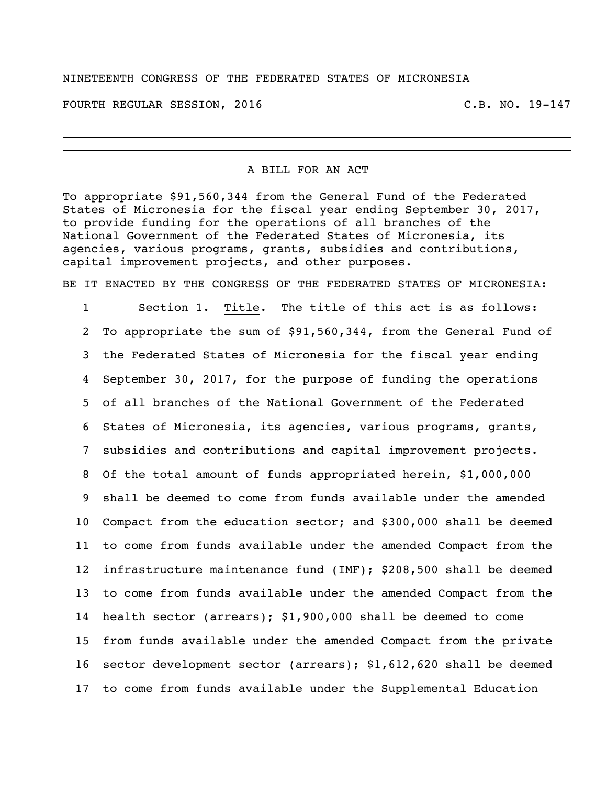#### NINETEENTH CONGRESS OF THE FEDERATED STATES OF MICRONESIA

FOURTH REGULAR SESSION, 2016 C.B. NO. 19-147

#### A BILL FOR AN ACT

To appropriate \$91,560,344 from the General Fund of the Federated States of Micronesia for the fiscal year ending September 30, 2017, to provide funding for the operations of all branches of the National Government of the Federated States of Micronesia, its agencies, various programs, grants, subsidies and contributions, capital improvement projects, and other purposes.

BE IT ENACTED BY THE CONGRESS OF THE FEDERATED STATES OF MICRONESIA:

 Section 1. Title. The title of this act is as follows: To appropriate the sum of \$91,560,344, from the General Fund of the Federated States of Micronesia for the fiscal year ending September 30, 2017, for the purpose of funding the operations of all branches of the National Government of the Federated States of Micronesia, its agencies, various programs, grants, subsidies and contributions and capital improvement projects. Of the total amount of funds appropriated herein, \$1,000,000 shall be deemed to come from funds available under the amended Compact from the education sector; and \$300,000 shall be deemed to come from funds available under the amended Compact from the infrastructure maintenance fund (IMF); \$208,500 shall be deemed to come from funds available under the amended Compact from the health sector (arrears); \$1,900,000 shall be deemed to come from funds available under the amended Compact from the private sector development sector (arrears); \$1,612,620 shall be deemed to come from funds available under the Supplemental Education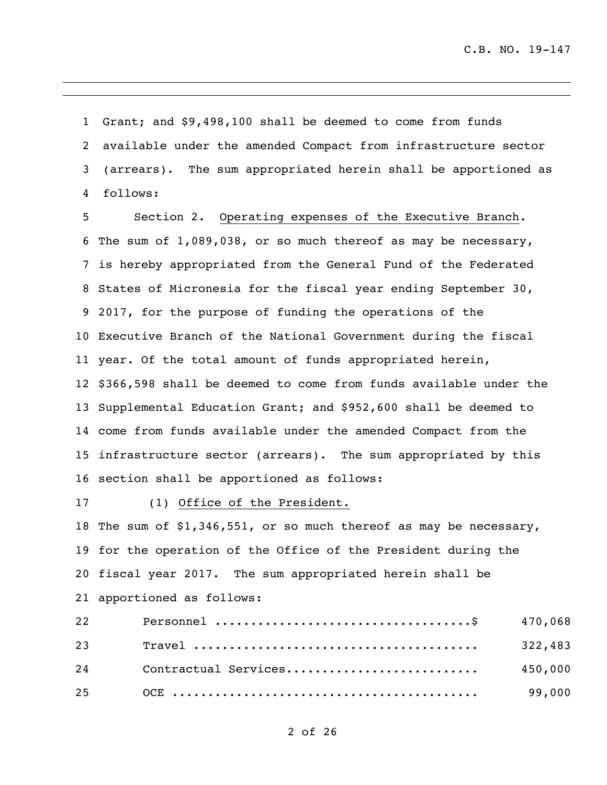Grant; and \$9,498,100 shall be deemed to come from funds available under the amended Compact from infrastructure sector (arrears). The sum appropriated herein shall be apportioned as follows:

 Section 2. Operating expenses of the Executive Branch. The sum of 1,089,038, or so much thereof as may be necessary, is hereby appropriated from the General Fund of the Federated States of Micronesia for the fiscal year ending September 30, 2017, for the purpose of funding the operations of the Executive Branch of the National Government during the fiscal year. Of the total amount of funds appropriated herein, \$366,598 shall be deemed to come from funds available under the Supplemental Education Grant; and \$952,600 shall be deemed to come from funds available under the amended Compact from the infrastructure sector (arrears). The sum appropriated by this section shall be apportioned as follows:

(1) Office of the President.

 The sum of \$1,346,551, or so much thereof as may be necessary, for the operation of the Office of the President during the fiscal year 2017. The sum appropriated herein shall be apportioned as follows:

|  | 450,000 |
|--|---------|
|  | 99,000  |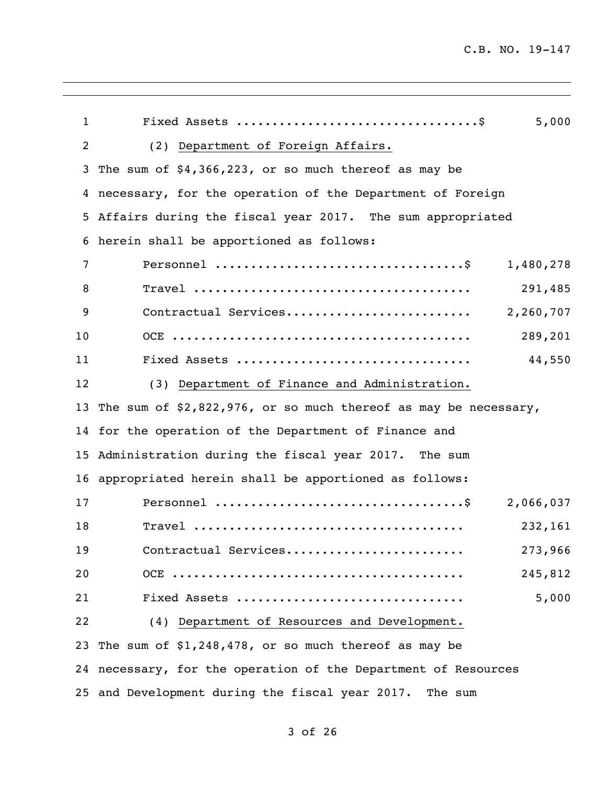| $\mathbf{1}$ | 5,000                                                             |
|--------------|-------------------------------------------------------------------|
| 2            | (2) Department of Foreign Affairs.                                |
| 3            | The sum of $$4,366,223$ , or so much thereof as may be            |
| 4            | necessary, for the operation of the Department of Foreign         |
| 5            | Affairs during the fiscal year 2017. The sum appropriated         |
| 6            | herein shall be apportioned as follows:                           |
| 7            | 1,480,278                                                         |
| 8            | 291,485                                                           |
| 9            | Contractual Services<br>2,260,707                                 |
| 10           | 289,201                                                           |
| 11           | 44,550                                                            |
| 12           | (3) Department of Finance and Administration.                     |
| 13           | The sum of $$2,822,976$ , or so much thereof as may be necessary, |
| 14           | for the operation of the Department of Finance and                |
| 15           | Administration during the fiscal year 2017. The sum               |
| 16           | appropriated herein shall be apportioned as follows:              |
| 17           | 2,066,037                                                         |
| 18           | 232,161                                                           |
| 19           | Contractual Services<br>273,966                                   |
| 20           | 245,812                                                           |
| 21           | 5,000<br>Fixed Assets                                             |
| 22           | (4) Department of Resources and Development.                      |
|              | 23 The sum of \$1,248,478, or so much thereof as may be           |
|              | 24 necessary, for the operation of the Department of Resources    |
|              | 25 and Development during the fiscal year 2017.<br>The sum        |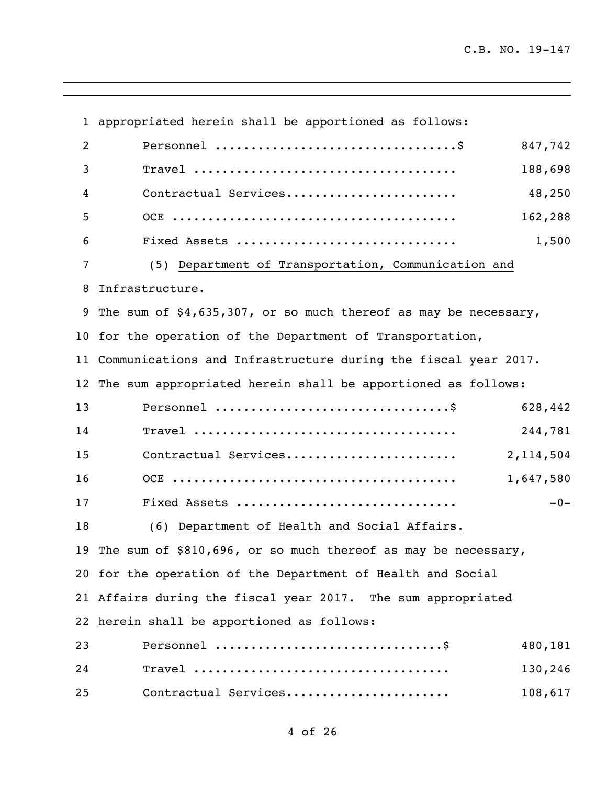appropriated herein shall be apportioned as follows: Personnel ..................................\$ 847,742 Travel ..................................... 188,698 Contractual Services........................ 48,250 OCE ........................................ 162,288 Fixed Assets ............................... 1,500 (5) Department of Transportation, Communication and Infrastructure. The sum of \$4,635,307, or so much thereof as may be necessary, for the operation of the Department of Transportation, Communications and Infrastructure during the fiscal year 2017. The sum appropriated herein shall be apportioned as follows: Personnel .................................\$ 628,442 Travel ..................................... 244,781 Contractual Services........................ 2,114,504 OCE ........................................ 1,647,580 Fixed Assets ............................... -0- (6) Department of Health and Social Affairs. The sum of \$810,696, or so much thereof as may be necessary, for the operation of the Department of Health and Social Affairs during the fiscal year 2017. The sum appropriated herein shall be apportioned as follows: Personnel ................................\$ 480,181 Travel .................................... 130,246 Contractual Services....................... 108,617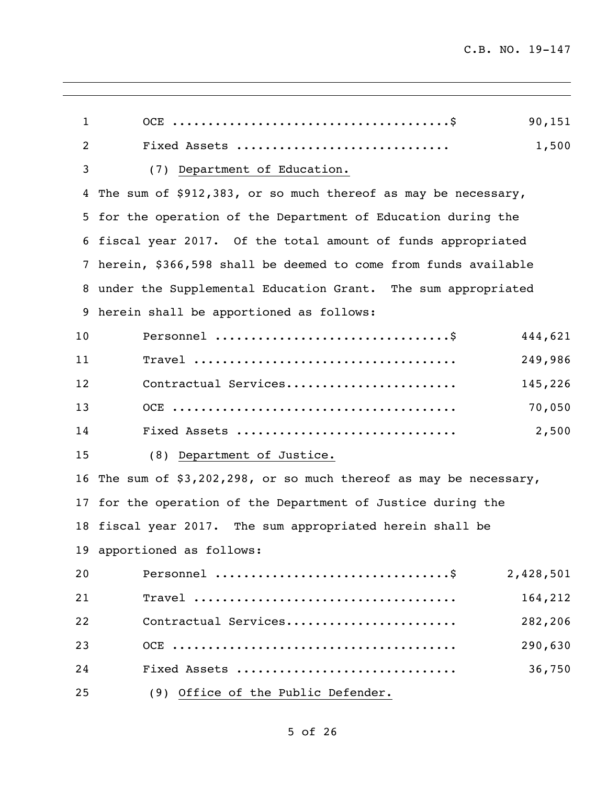| $\mathbf{1}$   | 90,151                                                            |
|----------------|-------------------------------------------------------------------|
| $\overline{c}$ | 1,500<br>Fixed Assets                                             |
| 3              | (7) Department of Education.                                      |
| 4              | The sum of \$912,383, or so much thereof as may be necessary,     |
| 5              | for the operation of the Department of Education during the       |
| 6              | fiscal year 2017. Of the total amount of funds appropriated       |
| 7              | herein, \$366,598 shall be deemed to come from funds available    |
| 8              | under the Supplemental Education Grant. The sum appropriated      |
| 9              | herein shall be apportioned as follows:                           |
| 10             | 444,621                                                           |
| 11             | 249,986                                                           |
| 12             | Contractual Services<br>145,226                                   |
| 13             | 70,050                                                            |
| 14             | 2,500<br>Fixed Assets                                             |
| 15             | (8) Department of Justice.                                        |
| 16             | The sum of $$3,202,298$ , or so much thereof as may be necessary, |
| 17             | for the operation of the Department of Justice during the         |
| 18             | fiscal year 2017. The sum appropriated herein shall be            |
|                | 19 apportioned as follows:                                        |
| 20             | 2,428,501                                                         |
| 21             | 164,212                                                           |
| 22             | Contractual Services<br>282,206                                   |
| 23             | 290,630                                                           |
| 24             | 36,750<br>Fixed Assets                                            |
| 25             | (9) Office of the Public Defender.                                |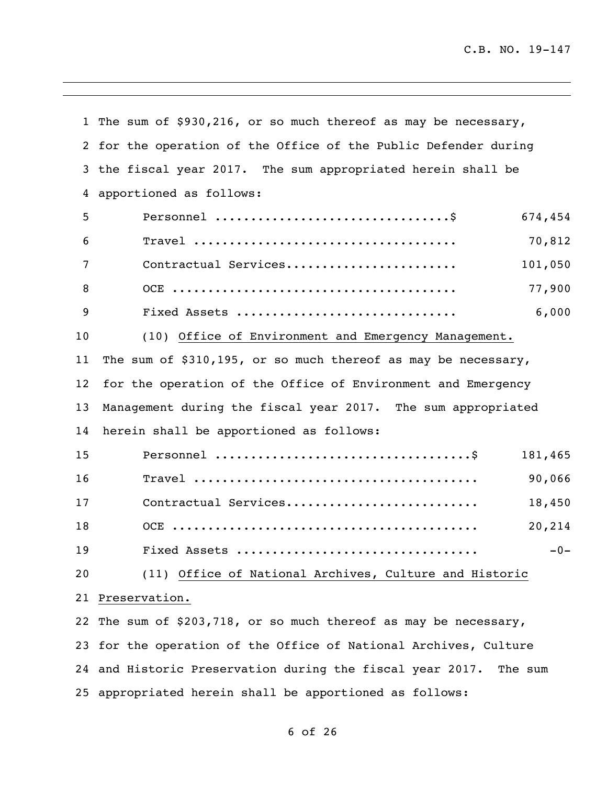The sum of \$930,216, or so much thereof as may be necessary, for the operation of the Office of the Public Defender during the fiscal year 2017. The sum appropriated herein shall be apportioned as follows: Personnel .................................\$ 674,454 Travel ..................................... 70,812 Contractual Services........................ 101,050 OCE ........................................ 77,900 Fixed Assets ............................... 6,000 (10) Office of Environment and Emergency Management. The sum of \$310,195, or so much thereof as may be necessary, for the operation of the Office of Environment and Emergency Management during the fiscal year 2017. The sum appropriated herein shall be apportioned as follows: Personnel ....................................\$ 181,465 Travel ........................................ 90,066 Contractual Services........................... 18,450 OCE ........................................... 20,214 Fixed Assets .................................. -0- (11) Office of National Archives, Culture and Historic Preservation. The sum of \$203,718, or so much thereof as may be necessary, for the operation of the Office of National Archives, Culture and Historic Preservation during the fiscal year 2017. The sum appropriated herein shall be apportioned as follows: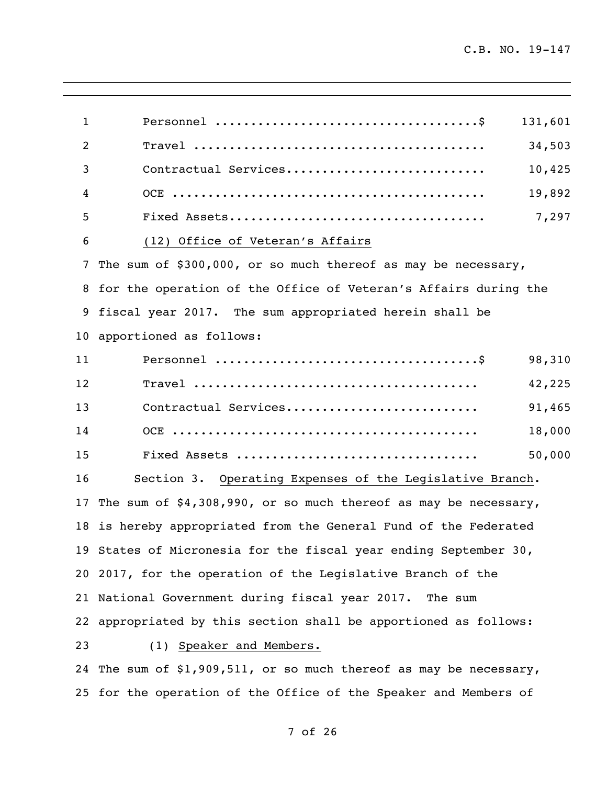| $\mathbf{1}$ | 131,601                                                            |
|--------------|--------------------------------------------------------------------|
| 2            | 34,503                                                             |
| 3            | Contractual Services<br>10,425                                     |
| 4            | 19,892                                                             |
| 5            | 7,297                                                              |
| 6            | (12) Office of Veteran's Affairs                                   |
| 7            | The sum of \$300,000, or so much thereof as may be necessary,      |
| 8            | for the operation of the Office of Veteran's Affairs during the    |
| 9            | fiscal year 2017. The sum appropriated herein shall be             |
| 10           | apportioned as follows:                                            |
| 11           | 98,310                                                             |
| 12           | 42,225                                                             |
| 13           | Contractual Services<br>91,465                                     |
| 14           | 18,000                                                             |
| 15           | 50,000                                                             |
| 16           | Section 3. Operating Expenses of the Legislative Branch.           |
| 17           | The sum of $$4,308,990$ , or so much thereof as may be necessary,  |
| 18           | is hereby appropriated from the General Fund of the Federated      |
|              | 19 States of Micronesia for the fiscal year ending September 30,   |
|              | 20 2017, for the operation of the Legislative Branch of the        |
|              | 21 National Government during fiscal year 2017. The sum            |
|              | 22 appropriated by this section shall be apportioned as follows:   |
| 23           | (1) Speaker and Members.                                           |
|              | 24 The sum of \$1,909,511, or so much thereof as may be necessary, |
|              | 25 for the operation of the Office of the Speaker and Members of   |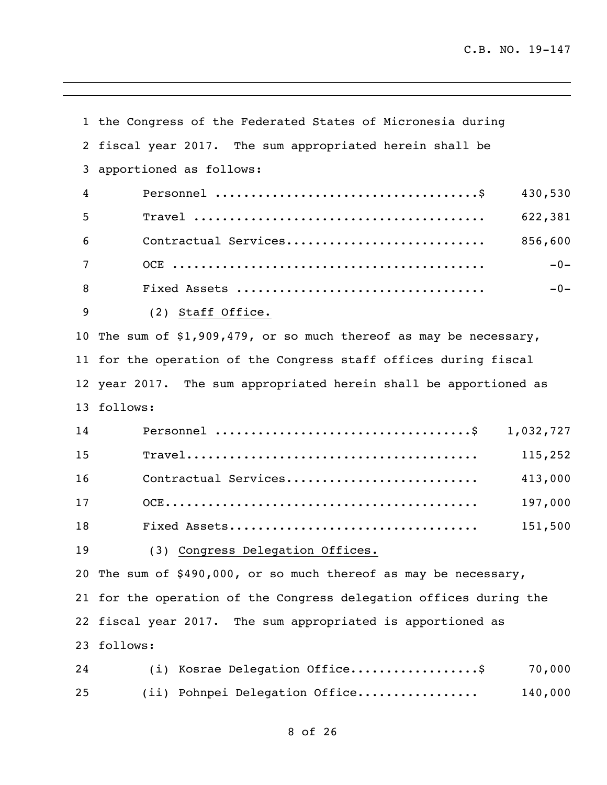the Congress of the Federated States of Micronesia during fiscal year 2017. The sum appropriated herein shall be apportioned as follows: Personnel .....................................\$ 430,530 Travel ......................................... 622,381 Contractual Services............................ 856,600 OCE ............................................ -0- Fixed Assets ................................... -0- (2) Staff Office. The sum of \$1,909,479, or so much thereof as may be necessary, for the operation of the Congress staff offices during fiscal year 2017. The sum appropriated herein shall be apportioned as follows: Personnel ....................................\$ 1,032,727 Travel......................................... 115,252 Contractual Services........................... 413,000 OCE............................................ 197,000 Fixed Assets................................... 151,500 (3) Congress Delegation Offices. The sum of \$490,000, or so much thereof as may be necessary, for the operation of the Congress delegation offices during the fiscal year 2017. The sum appropriated is apportioned as follows: 24 (i) Kosrae Delegation Office...................\$ 70,000 (ii) Pohnpei Delegation Office................. 140,000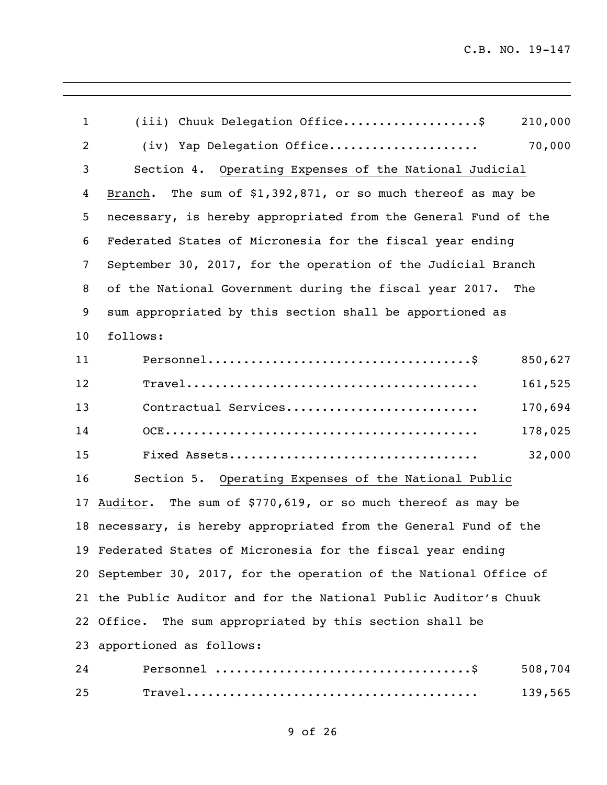| $\mathbf{1}$ | (iii) Chuuk Delegation Office\$<br>210,000                         |  |
|--------------|--------------------------------------------------------------------|--|
| 2            | 70,000<br>(iv) Yap Delegation Office                               |  |
| 3            | Section 4. Operating Expenses of the National Judicial             |  |
| 4            | The sum of $$1,392,871$ , or so much thereof as may be<br>Branch.  |  |
| 5            | necessary, is hereby appropriated from the General Fund of the     |  |
| 6            | Federated States of Micronesia for the fiscal year ending          |  |
| 7            | September 30, 2017, for the operation of the Judicial Branch       |  |
| 8            | of the National Government during the fiscal year 2017. The        |  |
| 9            | sum appropriated by this section shall be apportioned as           |  |
| 10           | follows:                                                           |  |
| 11           | 850,627                                                            |  |
| 12           | 161,525                                                            |  |
| 13           | Contractual Services<br>170,694                                    |  |
| 14           | 178,025                                                            |  |
| 15           | 32,000                                                             |  |
| 16           | Section 5. Operating Expenses of the National Public               |  |
| 17           | Auditor. The sum of \$770,619, or so much thereof as may be        |  |
|              | 18 necessary, is hereby appropriated from the General Fund of the  |  |
|              | 19 Federated States of Micronesia for the fiscal year ending       |  |
|              | 20 September 30, 2017, for the operation of the National Office of |  |
|              | 21 the Public Auditor and for the National Public Auditor's Chuuk  |  |
|              | 22 Office. The sum appropriated by this section shall be           |  |
|              | 23 apportioned as follows:                                         |  |
| 24           | 508,704                                                            |  |
| 25           | 139,565                                                            |  |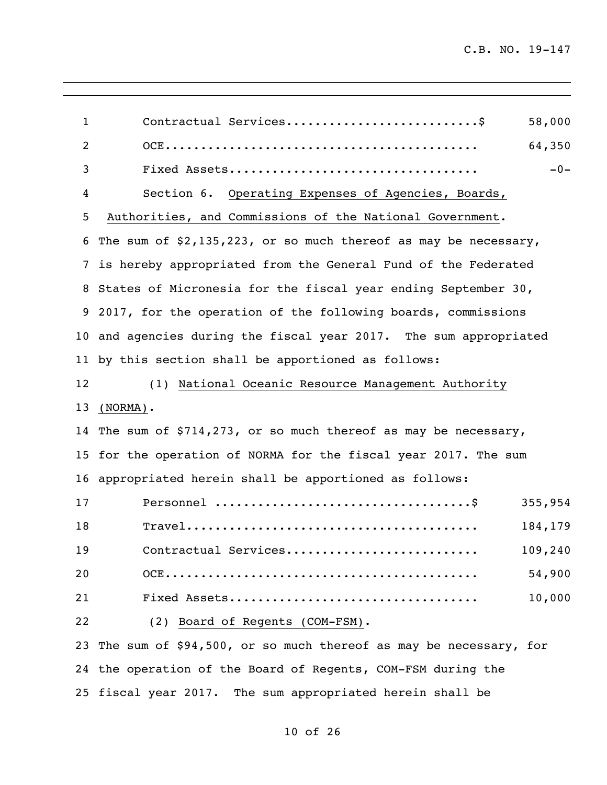| $\mathbf{1}$    | Contractual Services\$<br>58,000                                                                                      |  |
|-----------------|-----------------------------------------------------------------------------------------------------------------------|--|
| 2               | 64,350                                                                                                                |  |
| 3               | $-0-$                                                                                                                 |  |
| 4               | Section 6. Operating Expenses of Agencies, Boards,                                                                    |  |
| 5               | Authorities, and Commissions of the National Government.                                                              |  |
| 6               | The sum of $$2,135,223$ , or so much thereof as may be necessary,                                                     |  |
| $7\overline{ }$ | is hereby appropriated from the General Fund of the Federated                                                         |  |
|                 | 8 States of Micronesia for the fiscal year ending September 30,                                                       |  |
|                 | 9 2017, for the operation of the following boards, commissions                                                        |  |
|                 | 10 and agencies during the fiscal year 2017. The sum appropriated                                                     |  |
|                 | 11 by this section shall be apportioned as follows:                                                                   |  |
| 12              | (1) National Oceanic Resource Management Authority                                                                    |  |
| 13              | $(NORMA)$ .                                                                                                           |  |
|                 | 14 The sum of \$714,273, or so much thereof as may be necessary,                                                      |  |
|                 | 15 for the operation of NORMA for the fiscal year 2017. The sum                                                       |  |
|                 | 16 appropriated herein shall be apportioned as follows:                                                               |  |
| 17              | 355,954                                                                                                               |  |
| 18              | $\texttt{True}1 \dots \dots \dots \dots \dots \dots \dots \dots \dots \dots \dots \dots \dots \dots \dots$<br>184,179 |  |
| 19              | 109,240<br>Contractual Services                                                                                       |  |
| 20              | 54,900                                                                                                                |  |
| 21              | 10,000                                                                                                                |  |
| 22              | (2) Board of Regents (COM-FSM).                                                                                       |  |
| 23              | The sum of \$94,500, or so much thereof as may be necessary, for                                                      |  |
|                 | 24 the operation of the Board of Regents, COM-FSM during the                                                          |  |

fiscal year 2017. The sum appropriated herein shall be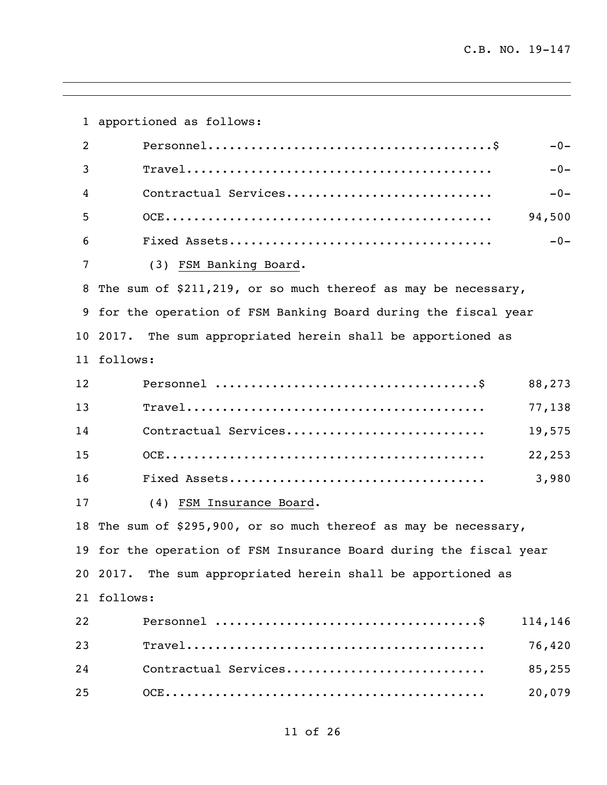apportioned as follows: Personnel........................................\$ -0- Travel........................................... -0- Contractual Services............................. -0- OCE.............................................. 94,500 Fixed Assets..................................... -0- (3) FSM Banking Board. The sum of \$211,219, or so much thereof as may be necessary, for the operation of FSM Banking Board during the fiscal year 2017. The sum appropriated herein shall be apportioned as follows: Personnel .....................................\$ 88,273 Travel.......................................... 77,138 Contractual Services............................ 19,575 OCE............................................. 22,253 Fixed Assets.................................... 3,980 (4) FSM Insurance Board. The sum of \$295,900, or so much thereof as may be necessary, for the operation of FSM Insurance Board during the fiscal year 2017. The sum appropriated herein shall be apportioned as follows: Personnel .....................................\$ 114,146 Travel.......................................... 76,420 Contractual Services............................ 85,255 OCE............................................. 20,079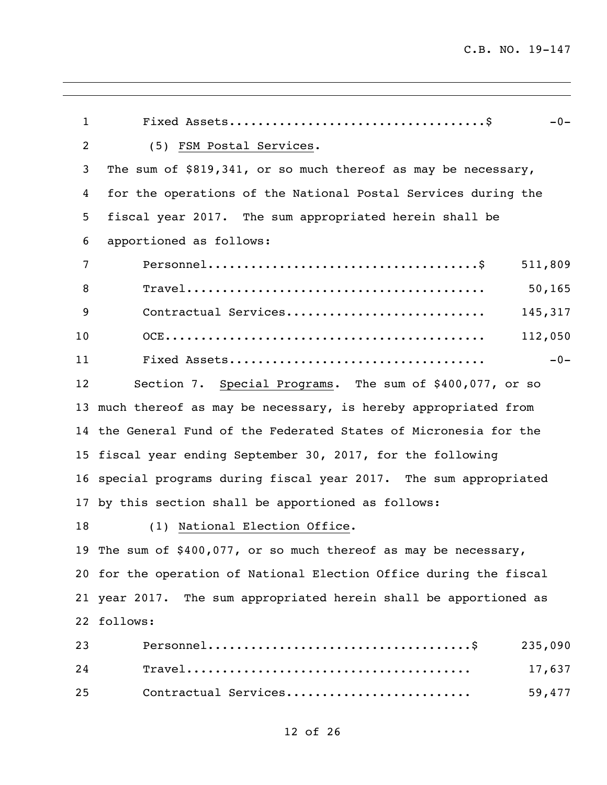| $\mathbf{1}$   | $-0-$                                                              |  |
|----------------|--------------------------------------------------------------------|--|
| $\overline{c}$ | (5) FSM Postal Services.                                           |  |
| 3              | The sum of \$819,341, or so much thereof as may be necessary,      |  |
| 4              | for the operations of the National Postal Services during the      |  |
| 5              | fiscal year 2017. The sum appropriated herein shall be             |  |
| 6              | apportioned as follows:                                            |  |
| 7              | 511,809                                                            |  |
| 8              | 50, 165                                                            |  |
| 9              | Contractual Services<br>145,317                                    |  |
| 10             | 112,050                                                            |  |
| 11             | $-0-$                                                              |  |
| 12             | Section 7. Special Programs. The sum of \$400,077, or so           |  |
| 13             | much thereof as may be necessary, is hereby appropriated from      |  |
|                | 14 the General Fund of the Federated States of Micronesia for the  |  |
| 15             | fiscal year ending September 30, 2017, for the following           |  |
| 16             | special programs during fiscal year 2017. The sum appropriated     |  |
| 17             | by this section shall be apportioned as follows:                   |  |
| 18             | (1) National Election Office.                                      |  |
|                | 19 The sum of \$400,077, or so much thereof as may be necessary,   |  |
|                | 20 for the operation of National Election Office during the fiscal |  |
|                | 21 year 2017. The sum appropriated herein shall be apportioned as  |  |
|                | 22 follows:                                                        |  |
| 23             | 235,090                                                            |  |
| 24             | 17,637                                                             |  |
| 25             | Contractual Services<br>59,477                                     |  |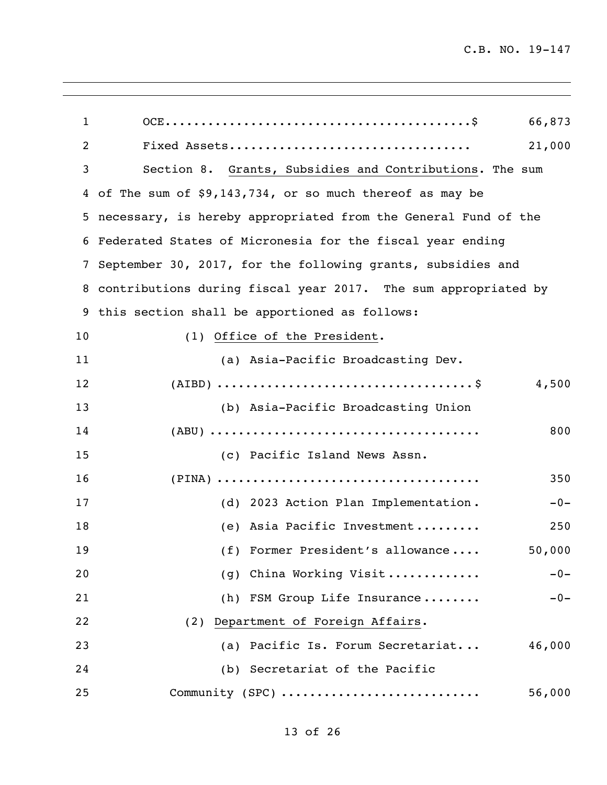| 1  | 66,873                                                           |
|----|------------------------------------------------------------------|
| 2  | 21,000                                                           |
| 3  | Section 8. Grants, Subsidies and Contributions. The sum          |
|    | 4 of The sum of \$9,143,734, or so much thereof as may be        |
|    | 5 necessary, is hereby appropriated from the General Fund of the |
|    | 6 Federated States of Micronesia for the fiscal year ending      |
|    | 7 September 30, 2017, for the following grants, subsidies and    |
|    | 8 contributions during fiscal year 2017. The sum appropriated by |
|    | 9 this section shall be apportioned as follows:                  |
| 10 | (1) Office of the President.                                     |
| 11 | (a) Asia-Pacific Broadcasting Dev.                               |
| 12 | 4,500                                                            |
| 13 | (b) Asia-Pacific Broadcasting Union                              |
| 14 | 800                                                              |
| 15 | (c) Pacific Island News Assn.                                    |
| 16 | 350                                                              |
| 17 | (d) 2023 Action Plan Implementation.<br>$-0-$                    |
| 18 | (e) Asia Pacific Investment<br>250                               |
| 19 | (f) Former President's allowance<br>50,000                       |
| 20 | China Working Visit<br>$-0-$<br>(q)                              |
| 21 | (h) FSM Group Life Insurance<br>$-0-$                            |
| 22 | (2) Department of Foreign Affairs.                               |
| 23 | (a) Pacific Is. Forum Secretariat<br>46,000                      |
| 24 | (b) Secretariat of the Pacific                                   |
| 25 | Community (SPC)<br>56,000                                        |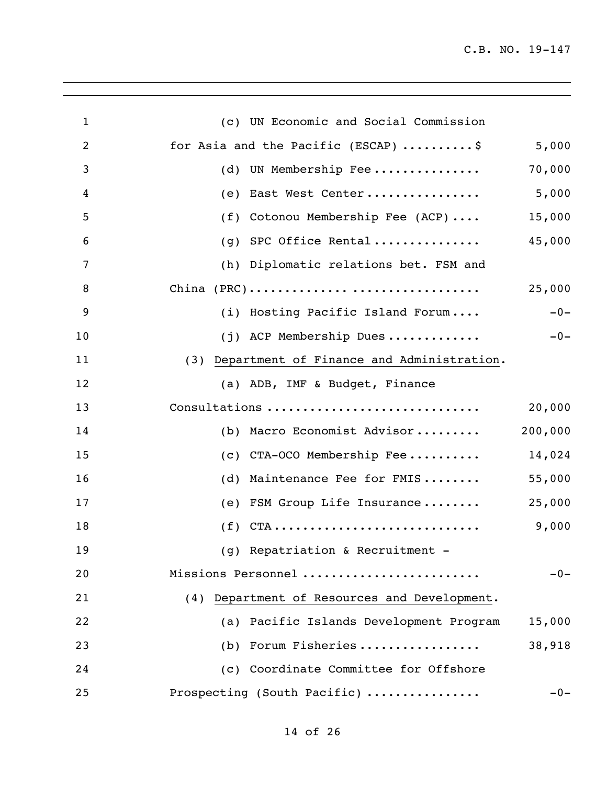| $\mathbf{1}$   | (c) UN Economic and Social Commission             |
|----------------|---------------------------------------------------|
| $\overline{c}$ | 5,000<br>for Asia and the Pacific (ESCAP) \$      |
| 3              | 70,000<br>UN Membership Fee<br>(d)                |
| 4              | 5,000<br>East West Center<br>(e)                  |
| 5              | 15,000<br>Cotonou Membership Fee (ACP)<br>(f)     |
| 6              | 45,000<br>SPC Office Rental<br>(q)                |
| 7              | (h) Diplomatic relations bet. FSM and             |
| 8              | 25,000                                            |
| 9              | $-0-$<br>(i) Hosting Pacific Island Forum         |
| 10             | $-0-$<br>(j) ACP Membership Dues                  |
| 11             | (3) Department of Finance and Administration.     |
| 12             | (a) ADB, IMF & Budget, Finance                    |
| 13             | Consultations<br>20,000                           |
| 14             | 200,000<br>(b) Macro Economist Advisor            |
| 15             | 14,024<br>CTA-OCO Membership Fee<br>(C)           |
| 16             | 55,000<br>Maintenance Fee for FMIS<br>(d)         |
| 17             | 25,000<br>FSM Group Life Insurance<br>(e)         |
| 18             | $(f)$ CTA<br>9,000                                |
| 19             | (g) Repatriation & Recruitment -                  |
| 20             | Missions Personnel<br>$-0-$                       |
| 21             | (4) Department of Resources and Development.      |
| 22             | 15,000<br>(a) Pacific Islands Development Program |
| 23             | (b) Forum Fisheries<br>38,918                     |
| 24             | (c) Coordinate Committee for Offshore             |
| 25             | Prospecting (South Pacific)<br>$-0-$              |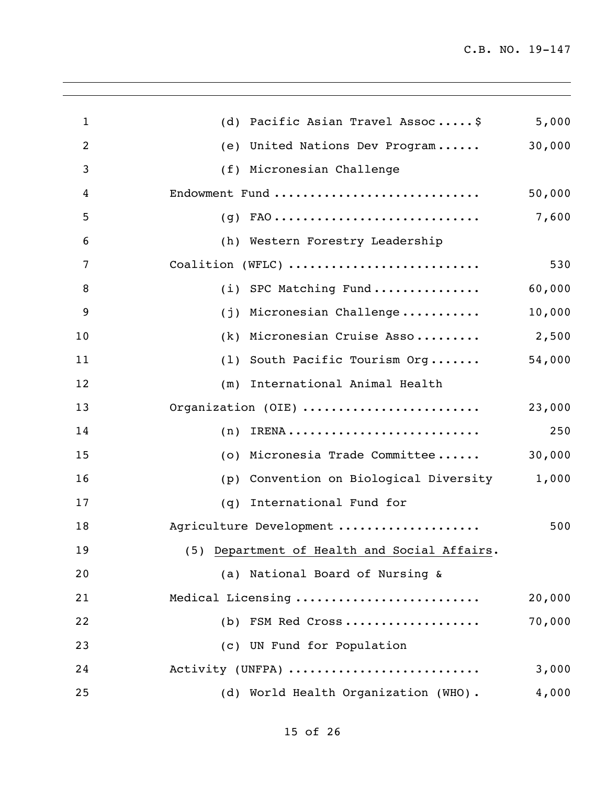| $\mathbf{1}$ | (d) Pacific Asian Travel Assoc\$             | 5,000  |
|--------------|----------------------------------------------|--------|
| 2            | (e) United Nations Dev Program               | 30,000 |
| 3            | (f) Micronesian Challenge                    |        |
| 4            | Endowment Fund                               | 50,000 |
| 5            |                                              | 7,600  |
| 6            | (h) Western Forestry Leadership              |        |
| 7            | Coalition (WFLC)                             | 530    |
| 8            | (i) SPC Matching Fund                        | 60,000 |
| 9            | (j) Micronesian Challenge                    | 10,000 |
| 10           | (k) Micronesian Cruise Asso                  | 2,500  |
| 11           | (1) South Pacific Tourism Org                | 54,000 |
| 12           | (m) International Animal Health              |        |
| 13           | Organization (OIE)                           | 23,000 |
| 14           | (n)                                          | 250    |
| 15           | (o) Micronesia Trade Committee               | 30,000 |
| 16           | Convention on Biological Diversity<br>(p)    | 1,000  |
| 17           | International Fund for<br>(q)                |        |
| 18           | Agriculture Development                      | 500    |
| 19           | (5) Department of Health and Social Affairs. |        |
| 20           | (a) National Board of Nursing &              |        |
| 21           | Medical Licensing                            | 20,000 |
| 22           | (b) FSM Red Cross                            | 70,000 |
| 23           | (c) UN Fund for Population                   |        |
| 24           | Activity (UNFPA)                             | 3,000  |
| 25           | (d) World Health Organization (WHO).         | 4,000  |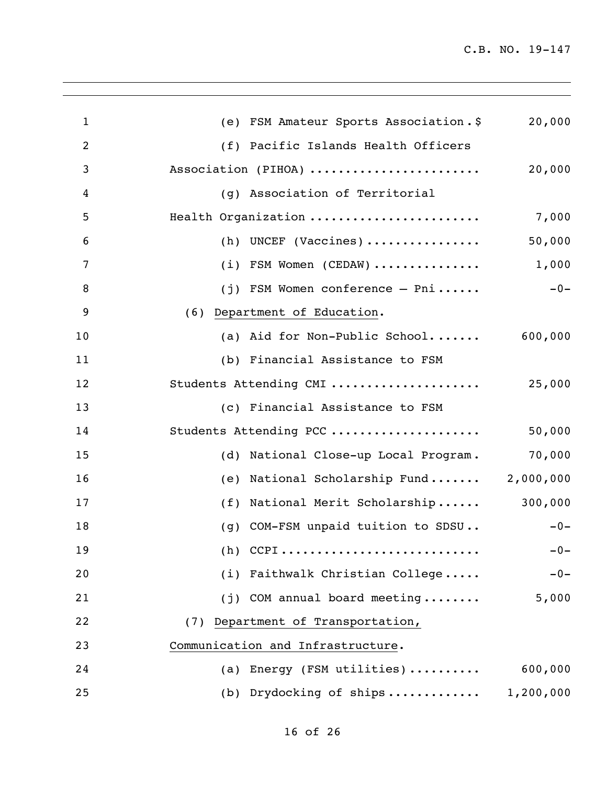| $\mathbf{1}$   | (e) FSM Amateur Sports Association.\$   | 20,000    |
|----------------|-----------------------------------------|-----------|
| $\overline{c}$ | (f) Pacific Islands Health Officers     |           |
| 3              | Association (PIHOA)                     | 20,000    |
| $\overline{4}$ | (g) Association of Territorial          |           |
| 5              | Health Organization                     | 7,000     |
| 6              | $(h)$ UNCEF (Vaccines)                  | 50,000    |
| 7              | $(i)$ FSM Women (CEDAW)                 | 1,000     |
| 8              | $(j)$ FSM Women conference - Pni        | $-0-$     |
| 9              | (6) Department of Education.            |           |
| 10             | (a) Aid for Non-Public School           | 600,000   |
| 11             | (b) Financial Assistance to FSM         |           |
| 12             | Students Attending CMI                  | 25,000    |
| 13             | (c) Financial Assistance to FSM         |           |
| 14             | Students Attending PCC                  | 50,000    |
| 15             | (d) National Close-up Local Program.    | 70,000    |
| 16             | (e) National Scholarship Fund 2,000,000 |           |
| 17             | (f) National Merit Scholarship          | 300,000   |
| 18             | (g) COM-FSM unpaid tuition to SDSU      | $-0-$     |
| 19             | $(h)$ CCPI                              | $-0-$     |
| 20             | Faithwalk Christian College<br>(i)      | $-0-$     |
| 21             | (j) COM annual board meeting            | 5,000     |
| 22             | (7) Department of Transportation,       |           |
| 23             | Communication and Infrastructure.       |           |
| 24             | Energy (FSM utilities)<br>(a)           | 600,000   |
| 25             | (b) Drydocking of ships                 | 1,200,000 |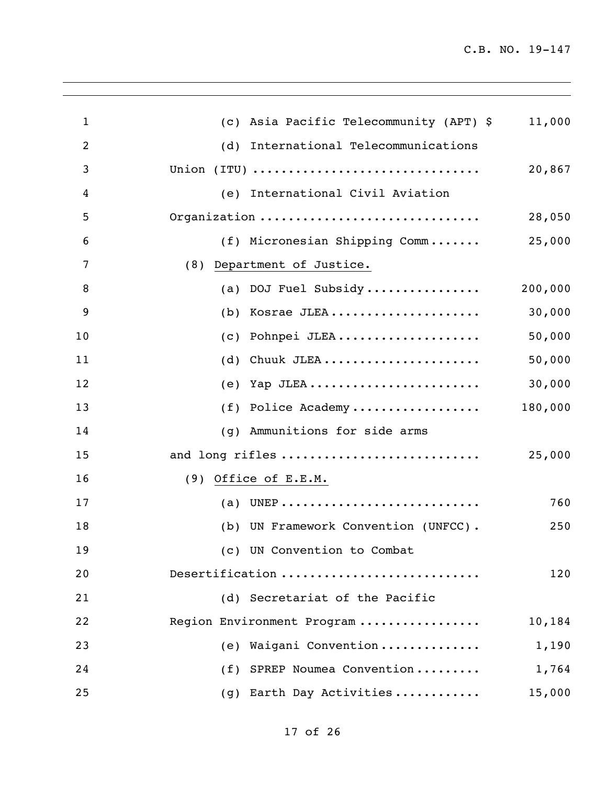| $\mathbf{1}$   | (c) Asia Pacific Telecommunity (APT) \$ | 11,000  |
|----------------|-----------------------------------------|---------|
| $\overline{2}$ | (d) International Telecommunications    |         |
| 3              |                                         | 20,867  |
| 4              | (e) International Civil Aviation        |         |
| 5              | Organization                            | 28,050  |
| 6              | (f) Micronesian Shipping Comm           | 25,000  |
| $\overline{7}$ | (8) Department of Justice.              |         |
| 8              | (a) DOJ Fuel Subsidy                    | 200,000 |
| 9              | Kosrae JLEA<br>(b)                      | 30,000  |
| 10             | Pohnpei JLEA<br>(C)                     | 50,000  |
| 11             | Chuuk JLEA<br>(d)                       | 50,000  |
| 12             | Yap JLEA<br>(e)                         | 30,000  |
| 13             | Police Academy<br>(f)                   | 180,000 |
| 14             | Ammunitions for side arms<br>(q)        |         |
| 15             | and long rifles                         | 25,000  |
| 16             | (9) Office of E.E.M.                    |         |
| 17             | (a) UNEP                                | 760     |
| 18             | (b) UN Framework Convention (UNFCC).    | 250     |
| 19             | (c) UN Convention to Combat             |         |
| 20             | Desertification                         | 120     |
| 21             | (d) Secretariat of the Pacific          |         |
| 22             | Region Environment Program              | 10,184  |
| 23             | (e) Waigani Convention                  | 1,190   |
| 24             | (f) SPREP Noumea Convention             | 1,764   |
| 25             | (g) Earth Day Activities                | 15,000  |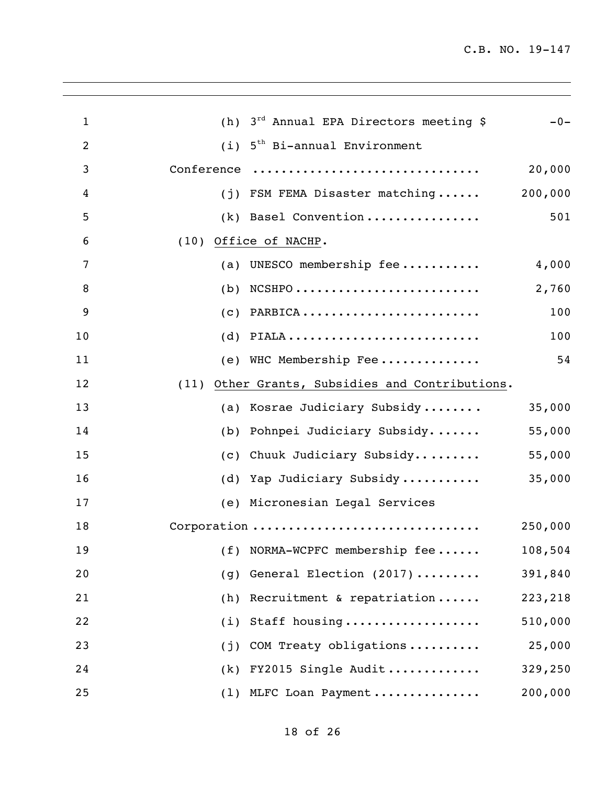| $\mathbf{1}$   | (h)  | 3 <sup>rd</sup> Annual EPA Directors meeting \$ | $-0-$   |
|----------------|------|-------------------------------------------------|---------|
| $\overline{2}$ | (i)  | 5 <sup>th</sup> Bi-annual Environment           |         |
| 3              |      | Conference                                      | 20,000  |
| 4              |      | (j) FSM FEMA Disaster matching                  | 200,000 |
| 5              |      | (k) Basel Convention                            | 501     |
| 6              |      | (10) Office of NACHP.                           |         |
| 7              | (a)  | UNESCO membership fee                           | 4,000   |
| 8              |      | $(b)$ NCSHPO                                    | 2,760   |
| 9              |      | $(c)$ PARBICA                                   | 100     |
| 10             |      | $(d)$ PIALA                                     | 100     |
| 11             |      | (e) WHC Membership Fee                          | 54      |
| 12             | (11) | Other Grants, Subsidies and Contributions.      |         |
| 13             |      | (a) Kosrae Judiciary Subsidy                    | 35,000  |
| 14             | (b)  | Pohnpei Judiciary Subsidy                       | 55,000  |
| 15             |      | (c) Chuuk Judiciary Subsidy                     | 55,000  |
| 16             |      | (d) Yap Judiciary Subsidy                       | 35,000  |
| 17             |      | (e) Micronesian Legal Services                  |         |
| 18             |      | Corporation                                     | 250,000 |
| 19             |      | (f) NORMA-WCPFC membership fee                  | 108,504 |
| 20             | (g)  | General Election (2017)                         | 391,840 |
| 21             |      | (h) Recruitment & repatriation                  | 223,218 |
| 22             |      | (i) Staff housing                               | 510,000 |
| 23             | (j)  | COM Treaty obligations                          | 25,000  |
| 24             |      | $(k)$ FY2015 Single Audit                       | 329,250 |
| 25             |      | (1) MLFC Loan Payment                           | 200,000 |
|                |      |                                                 |         |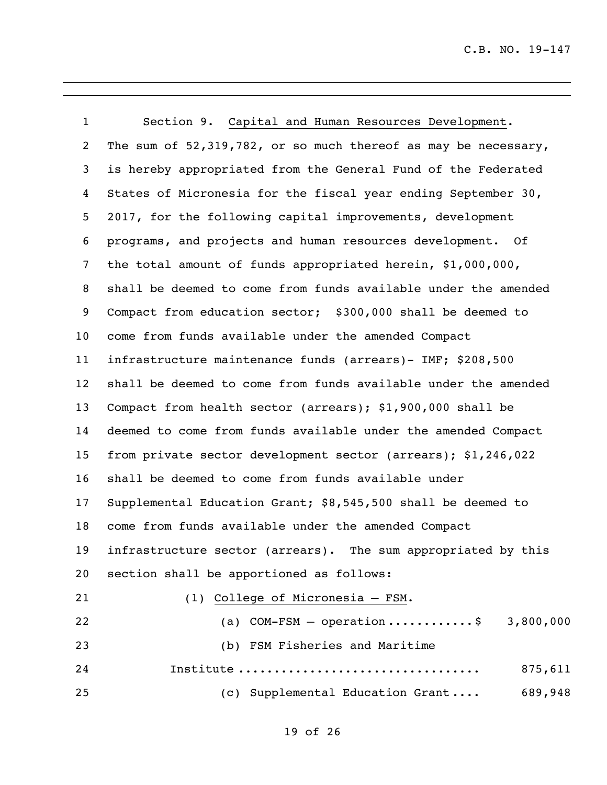| $\mathbf{1}$      | Section 9. Capital and Human Resources Development.              |  |  |
|-------------------|------------------------------------------------------------------|--|--|
| 2                 | The sum of 52,319,782, or so much thereof as may be necessary,   |  |  |
| 3                 | is hereby appropriated from the General Fund of the Federated    |  |  |
| $\overline{4}$    | States of Micronesia for the fiscal year ending September 30,    |  |  |
| 5                 | 2017, for the following capital improvements, development        |  |  |
| 6                 | programs, and projects and human resources development. Of       |  |  |
| $\overline{7}$    | the total amount of funds appropriated herein, \$1,000,000,      |  |  |
| 8                 | shall be deemed to come from funds available under the amended   |  |  |
| 9                 | Compact from education sector; \$300,000 shall be deemed to      |  |  |
| 10                | come from funds available under the amended Compact              |  |  |
| 11                | infrastructure maintenance funds (arrears)- IMF; \$208,500       |  |  |
| $12 \overline{ }$ | shall be deemed to come from funds available under the amended   |  |  |
| 13                | Compact from health sector (arrears); \$1,900,000 shall be       |  |  |
| 14                | deemed to come from funds available under the amended Compact    |  |  |
| 15                | from private sector development sector (arrears); \$1,246,022    |  |  |
| 16                | shall be deemed to come from funds available under               |  |  |
| 17                | Supplemental Education Grant; \$8,545,500 shall be deemed to     |  |  |
| 18                | come from funds available under the amended Compact              |  |  |
| 19                | The sum appropriated by this<br>infrastructure sector (arrears). |  |  |
| 20                | section shall be apportioned as follows:                         |  |  |
| 21                | (1) College of Micronesia - FSM.                                 |  |  |
| 22                | (a) COM-FSM - operation\$ 3,800,000                              |  |  |
| 23                | (b) FSM Fisheries and Maritime                                   |  |  |
| 24                | Institute<br>875,611                                             |  |  |
| 25                | 689,948<br>(c) Supplemental Education Grant                      |  |  |
|                   |                                                                  |  |  |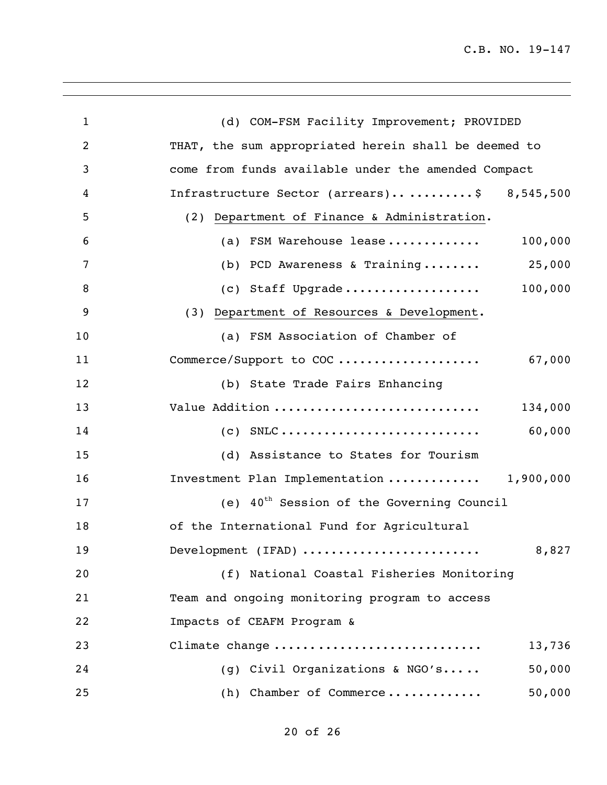| $\mathbf{1}$ | (d) COM-FSM Facility Improvement; PROVIDED            |
|--------------|-------------------------------------------------------|
| 2            | THAT, the sum appropriated herein shall be deemed to  |
| 3            | come from funds available under the amended Compact   |
| 4            | Infrastructure Sector (arrears)\$ 8,545,500           |
| 5            | (2) Department of Finance & Administration.           |
| 6            | (a) FSM Warehouse lease<br>100,000                    |
| 7            | (b) PCD Awareness & Training 25,000                   |
| 8            | 100,000<br>(c) Staff Upgrade                          |
| 9            | (3) Department of Resources & Development.            |
| 10           | (a) FSM Association of Chamber of                     |
| 11           | 67,000<br>Commerce/Support to COC                     |
| 12           | (b) State Trade Fairs Enhancing                       |
| 13           | Value Addition<br>134,000                             |
| 14           | $(C)$ SNLC<br>60,000                                  |
| 15           | (d) Assistance to States for Tourism                  |
| 16           | Investment Plan Implementation  1,900,000             |
| 17           | (e) $40^{\text{th}}$ Session of the Governing Council |
| 18           | of the International Fund for Agricultural            |
| 19           | Development (IFAD)<br>8,827                           |
| 20           | (f) National Coastal Fisheries Monitoring             |
| 21           | Team and ongoing monitoring program to access         |
| 22           | Impacts of CEAFM Program &                            |
| 23           | Climate change<br>13,736                              |
| 24           | (g) Civil Organizations & NGO's<br>50,000             |
| 25           | 50,000<br>(h) Chamber of Commerce                     |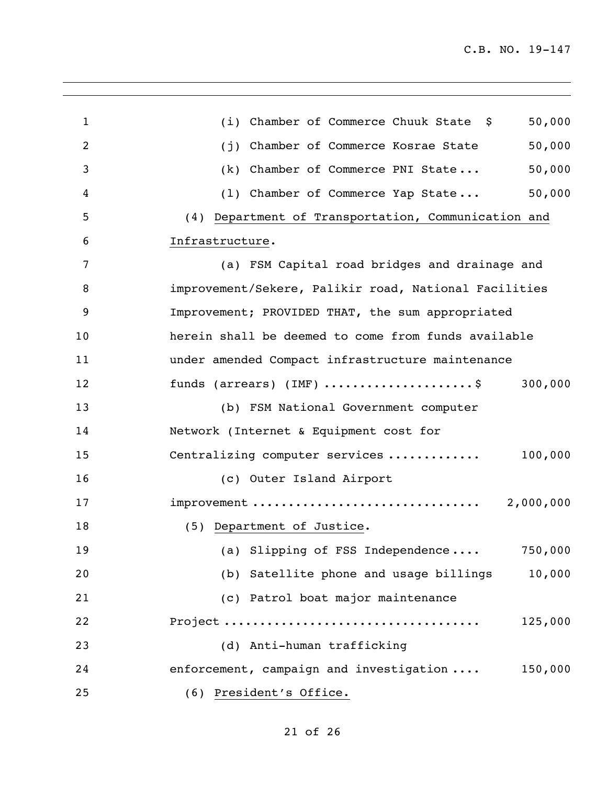| $\mathbf{1}$   | 50,000<br>(i) Chamber of Commerce Chuuk State \$                     |
|----------------|----------------------------------------------------------------------|
| $\overline{c}$ | 50,000<br>Chamber of Commerce Kosrae State<br>(i)                    |
| 3              | 50,000<br>Chamber of Commerce PNI State<br>(k)                       |
| 4              | 50,000<br>(1) Chamber of Commerce Yap State                          |
| 5              | (4) Department of Transportation, Communication and                  |
| 6              | Infrastructure.                                                      |
| 7              | (a) FSM Capital road bridges and drainage and                        |
| 8              | improvement/Sekere, Palikir road, National Facilities                |
| 9              | Improvement; PROVIDED THAT, the sum appropriated                     |
| 10             | herein shall be deemed to come from funds available                  |
| 11             | under amended Compact infrastructure maintenance                     |
| 12             | funds (arrears) (IMF) $\dots\dots\dots\dots\dots\dots$ \$<br>300,000 |
| 13             | (b) FSM National Government computer                                 |
| 14             | Network (Internet & Equipment cost for                               |
| 15             | 100,000<br>Centralizing computer services                            |
| 16             | (c) Outer Island Airport                                             |
| 17             | improvement<br>2,000,000                                             |
| 18             | (5) Department of Justice.                                           |
| 19             | (a) Slipping of FSS Independence<br>750,000                          |
| 20             | (b) Satellite phone and usage billings<br>10,000                     |
| 21             | (c) Patrol boat major maintenance                                    |
| 22             | 125,000                                                              |
| 23             | (d) Anti-human trafficking                                           |
| 24             | enforcement, campaign and investigation<br>150,000                   |
| 25             | (6) President's Office.                                              |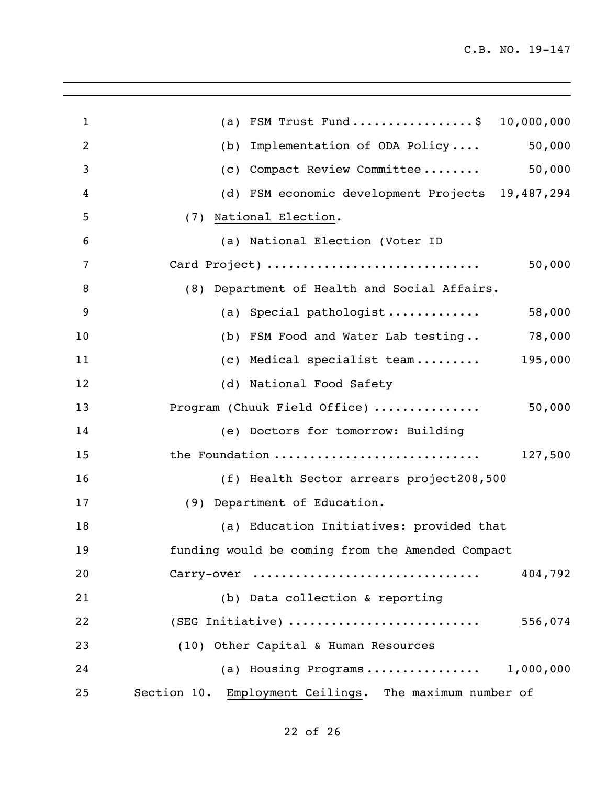| $\mathbf{1}$   | FSM Trust Fund\$ 10,000,000<br>(a)                     |
|----------------|--------------------------------------------------------|
| $\overline{c}$ | 50,000<br>Implementation of ODA Policy<br>(b)          |
| 3              | 50,000<br>Compact Review Committee<br>(C)              |
| 4              | (d) FSM economic development Projects 19,487,294       |
| 5              | (7) National Election.                                 |
| 6              | (a) National Election (Voter ID                        |
| 7              | Card Project)<br>50,000                                |
| 8              | (8) Department of Health and Social Affairs.           |
| 9              | 58,000<br>(a) Special pathologist                      |
| 10             | 78,000<br>(b) FSM Food and Water Lab testing           |
| 11             | (c) Medical specialist team $195,000$                  |
| 12             | (d) National Food Safety                               |
| 13             | 50,000<br>Program (Chuuk Field Office)                 |
| 14             | (e) Doctors for tomorrow: Building                     |
| 15             | the Foundation<br>127,500                              |
| 16             | (f) Health Sector arrears project208,500               |
| 17             | (9) Department of Education.                           |
| 18             | (a) Education Initiatives: provided that               |
| 19             | funding would be coming from the Amended Compact       |
| 20             | 404,792<br>Carry-over                                  |
| 21             | (b) Data collection & reporting                        |
| 22             | 556,074<br>(SEG Initiative)                            |
| 23             | (10) Other Capital & Human Resources                   |
| 24             | 1,000,000<br>(a) Housing Programs                      |
| 25             | Section 10. Employment Ceilings. The maximum number of |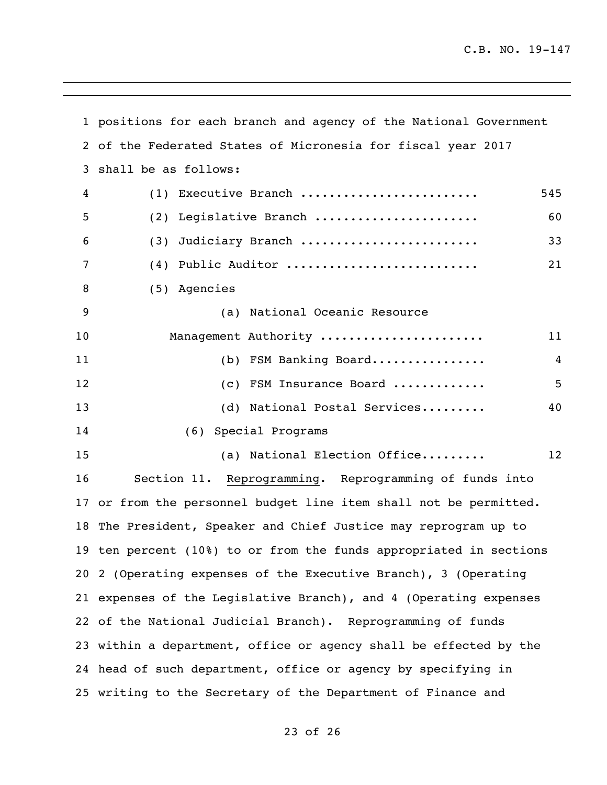|    | 1 positions for each branch and agency of the National Government  |     |  |
|----|--------------------------------------------------------------------|-----|--|
|    | 2 of the Federated States of Micronesia for fiscal year 2017       |     |  |
| 3  | shall be as follows:                                               |     |  |
| 4  | (1) Executive Branch                                               | 545 |  |
| 5  | (2) Legislative Branch                                             | 60  |  |
| 6  | Judiciary Branch<br>(3)                                            | 33  |  |
| 7  | (4) Public Auditor                                                 | 21  |  |
| 8  | (5) Agencies                                                       |     |  |
| 9  | (a) National Oceanic Resource                                      |     |  |
| 10 | Management Authority                                               | 11  |  |
| 11 | (b) FSM Banking Board                                              | 4   |  |
| 12 | (c) FSM Insurance Board                                            | 5   |  |
| 13 | (d) National Postal Services                                       | 40  |  |
| 14 | (6) Special Programs                                               |     |  |
| 15 | (a) National Election Office                                       | 12  |  |
| 16 | Section 11. Reprogramming. Reprogramming of funds into             |     |  |
|    | 17 or from the personnel budget line item shall not be permitted.  |     |  |
|    | 18 The President, Speaker and Chief Justice may reprogram up to    |     |  |
|    | 19 ten percent (10%) to or from the funds appropriated in sections |     |  |
|    | 20 2 (Operating expenses of the Executive Branch), 3 (Operating    |     |  |
|    | 21 expenses of the Legislative Branch), and 4 (Operating expenses  |     |  |
|    | 22 of the National Judicial Branch). Reprogramming of funds        |     |  |
|    | 23 within a department, office or agency shall be effected by the  |     |  |
|    | 24 head of such department, office or agency by specifying in      |     |  |
|    | 25 writing to the Secretary of the Department of Finance and       |     |  |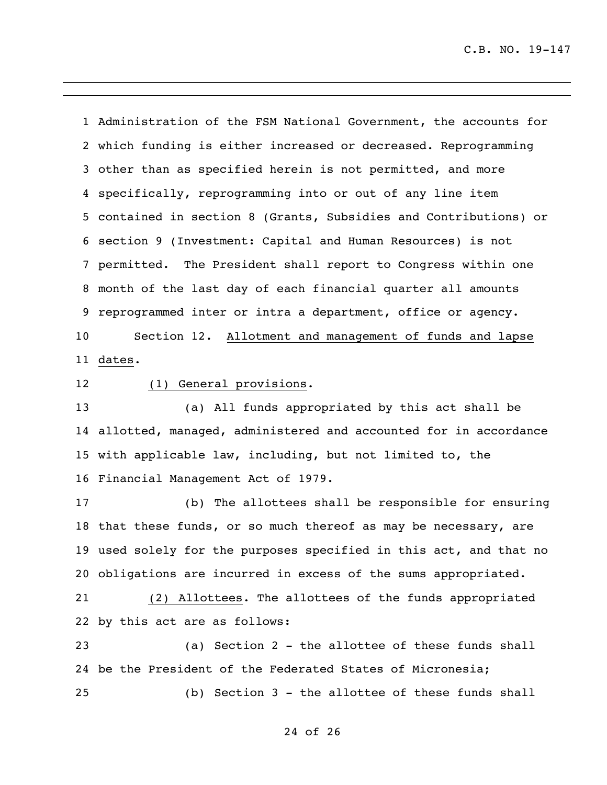Administration of the FSM National Government, the accounts for which funding is either increased or decreased. Reprogramming other than as specified herein is not permitted, and more specifically, reprogramming into or out of any line item contained in section 8 (Grants, Subsidies and Contributions) or section 9 (Investment: Capital and Human Resources) is not permitted. The President shall report to Congress within one month of the last day of each financial quarter all amounts reprogrammed inter or intra a department, office or agency. Section 12. Allotment and management of funds and lapse dates.

### (1) General provisions.

 (a) All funds appropriated by this act shall be allotted, managed, administered and accounted for in accordance with applicable law, including, but not limited to, the Financial Management Act of 1979.

 (b) The allottees shall be responsible for ensuring that these funds, or so much thereof as may be necessary, are used solely for the purposes specified in this act, and that no obligations are incurred in excess of the sums appropriated.

 (2) Allottees. The allottees of the funds appropriated by this act are as follows:

 (a) Section 2 - the allottee of these funds shall be the President of the Federated States of Micronesia; (b) Section 3 - the allottee of these funds shall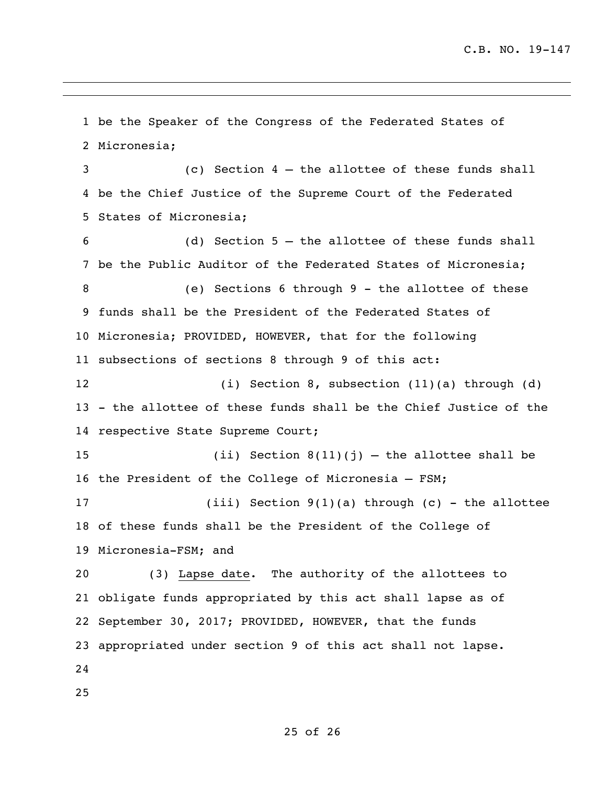be the Speaker of the Congress of the Federated States of Micronesia; (c) Section 4 – the allottee of these funds shall be the Chief Justice of the Supreme Court of the Federated States of Micronesia; (d) Section 5 – the allottee of these funds shall be the Public Auditor of the Federated States of Micronesia; (e) Sections 6 through 9 - the allottee of these funds shall be the President of the Federated States of Micronesia; PROVIDED, HOWEVER, that for the following subsections of sections 8 through 9 of this act: (i) Section 8, subsection (11)(a) through (d) - the allottee of these funds shall be the Chief Justice of the respective State Supreme Court; 15 (ii) Section  $8(11)(j)$  – the allottee shall be the President of the College of Micronesia – FSM; (iii) Section 9(1)(a) through (c) - the allottee of these funds shall be the President of the College of Micronesia-FSM; and (3) Lapse date. The authority of the allottees to obligate funds appropriated by this act shall lapse as of September 30, 2017; PROVIDED, HOWEVER, that the funds appropriated under section 9 of this act shall not lapse.